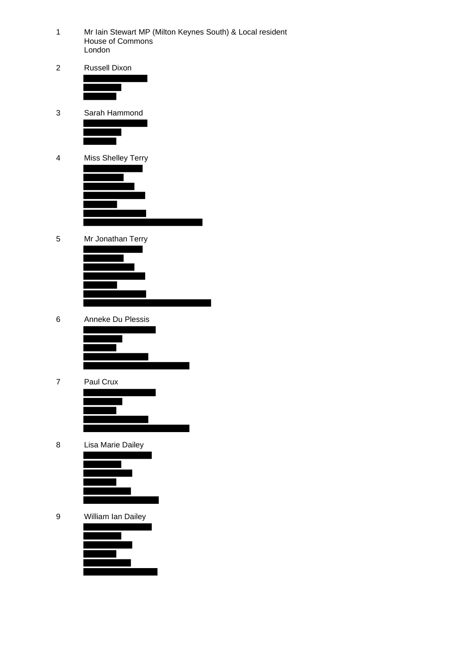- Mr Iain Stewart MP (Milton Keynes South) & Local resident House of Commons London
- Russell Dixon



- Sarah Hammond
- Miss Shelley Terry
- Mr Jonathan Terry
- Anneke Du Plessis



Paul Crux



Lisa Marie Dailey



William Ian Dailey

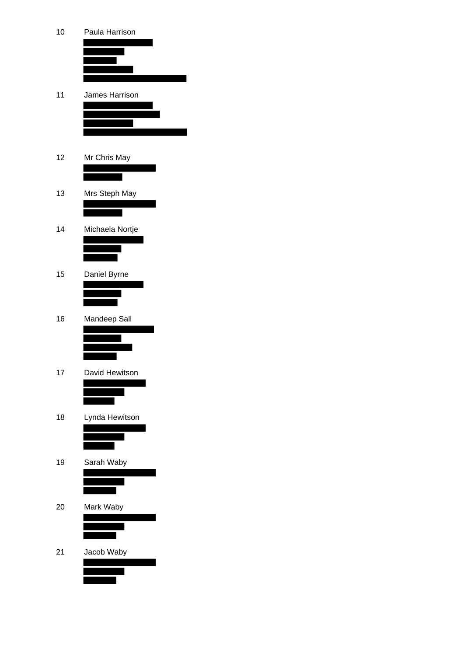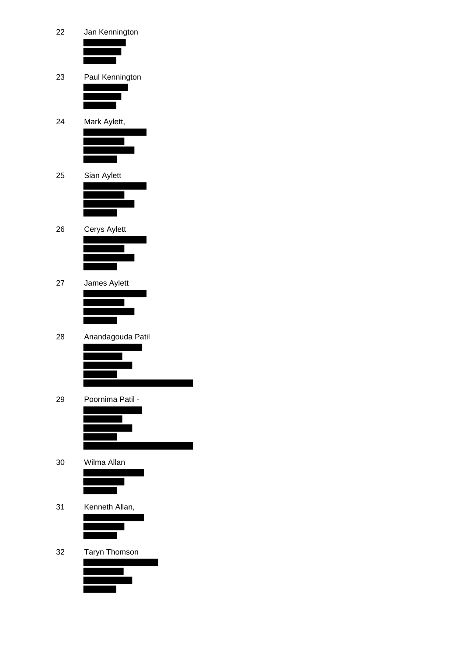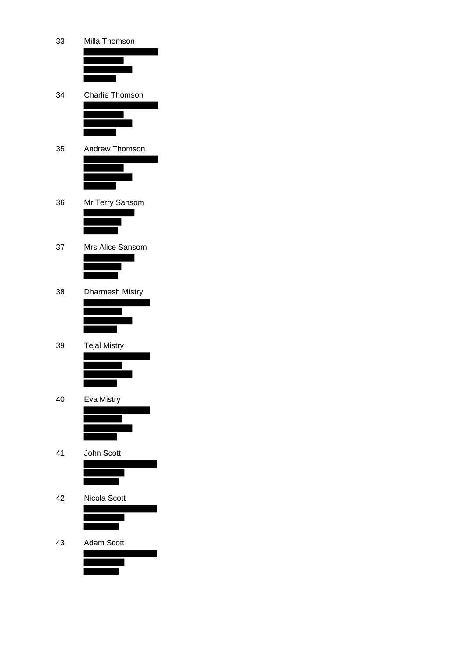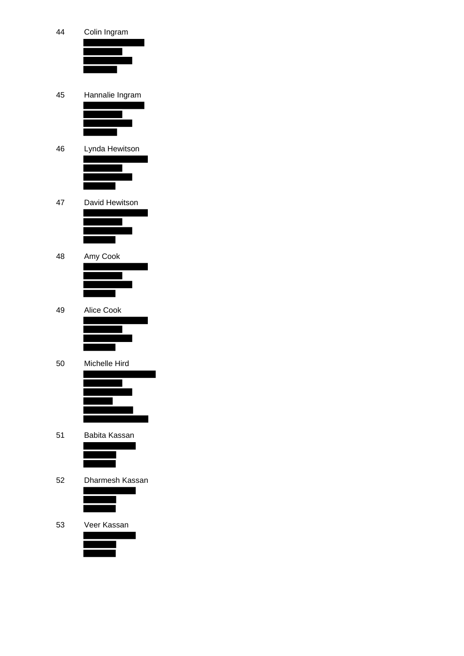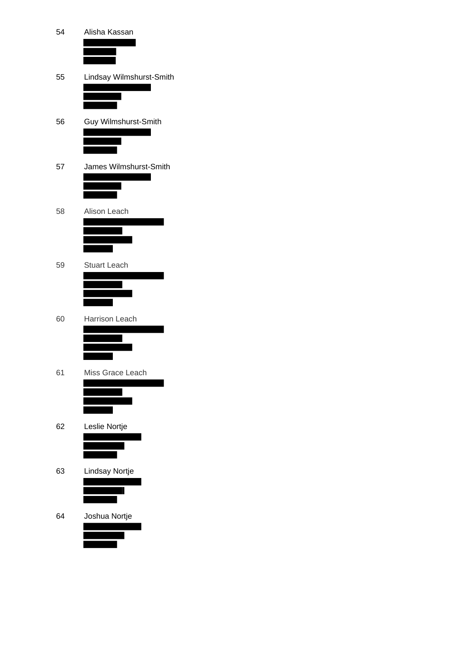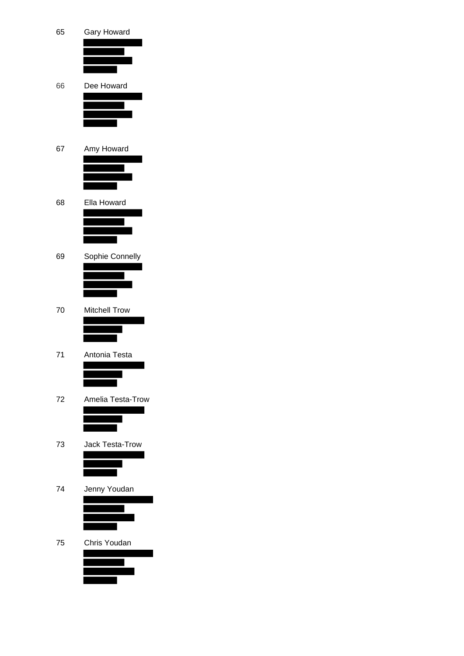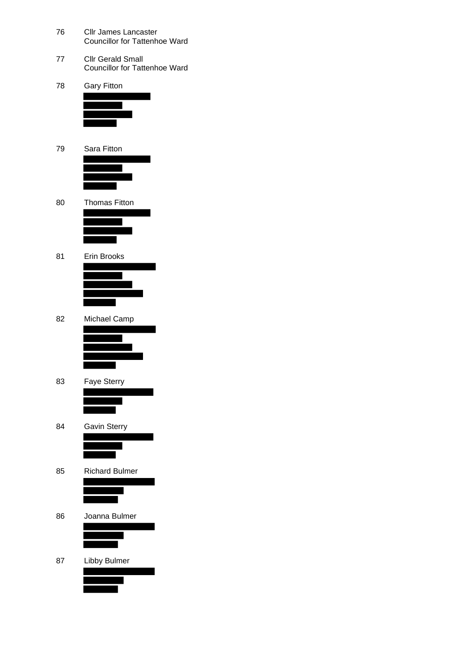- Cllr James Lancaster Councillor for Tattenhoe Ward
- Cllr Gerald Small Councillor for Tattenhoe Ward
- Gary Fitton
- Sara Fitton



- Thomas Fitton
- Erin Brooks
- Michael Camp



- Faye Sterry
- Gavin Sterry
- Richard Bulmer
- Joanna Bulmer
- Libby Bulmer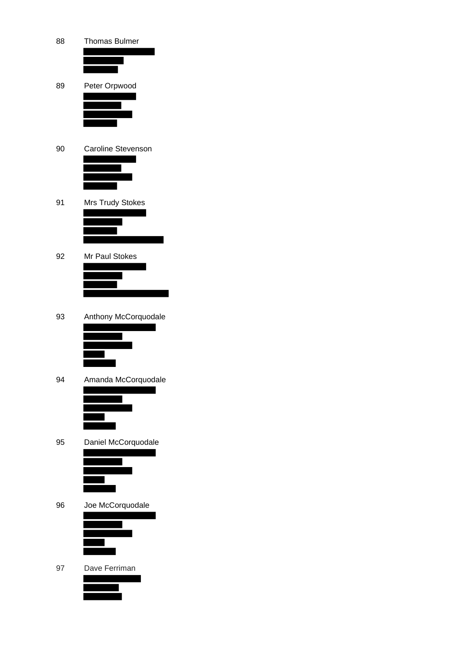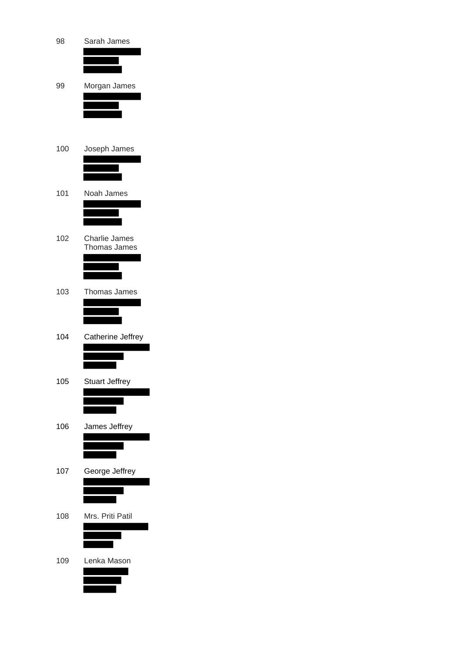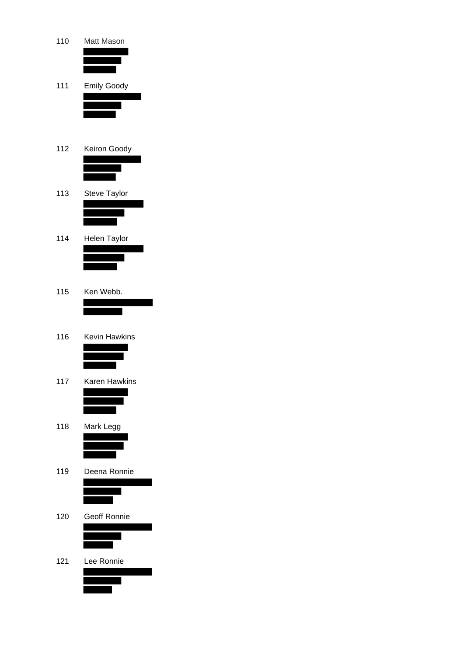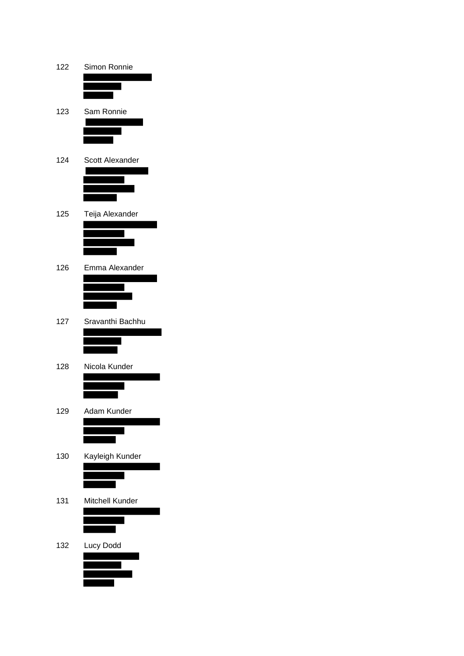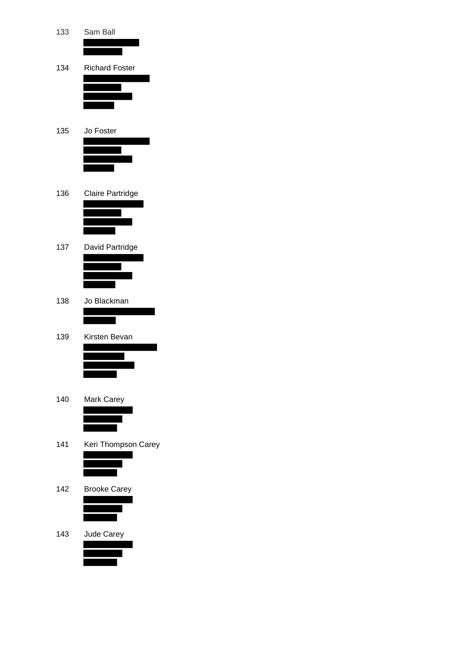